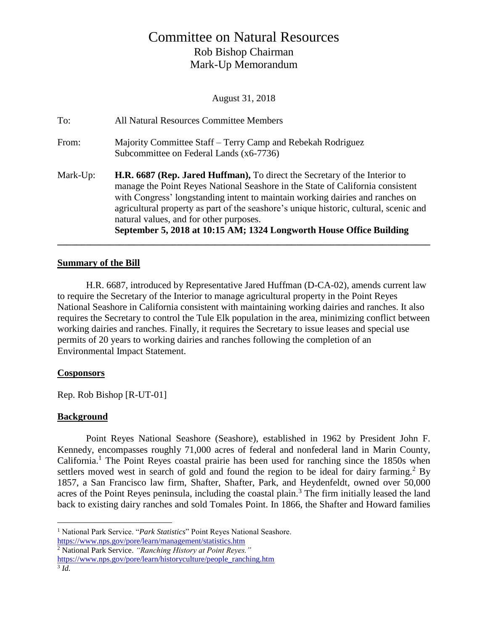# Committee on Natural Resources Rob Bishop Chairman Mark-Up Memorandum

August 31, 2018

|          | September 5, 2018 at 10:15 AM; 1324 Longworth House Office Building                                                              |
|----------|----------------------------------------------------------------------------------------------------------------------------------|
|          | agricultural property as part of the seashore's unique historic, cultural, scenic and<br>natural values, and for other purposes. |
|          | with Congress' longstanding intent to maintain working dairies and ranches on                                                    |
|          | manage the Point Reyes National Seashore in the State of California consistent                                                   |
| Mark-Up: | <b>H.R. 6687 (Rep. Jared Huffman),</b> To direct the Secretary of the Interior to                                                |
| From:    | Majority Committee Staff – Terry Camp and Rebekah Rodriguez<br>Subcommittee on Federal Lands (x6-7736)                           |
|          |                                                                                                                                  |
| To:      | All Natural Resources Committee Members                                                                                          |

## **Summary of the Bill**

H.R. 6687, introduced by Representative Jared Huffman (D-CA-02), amends current law to require the Secretary of the Interior to manage agricultural property in the Point Reyes National Seashore in California consistent with maintaining working dairies and ranches. It also requires the Secretary to control the Tule Elk population in the area, minimizing conflict between working dairies and ranches. Finally, it requires the Secretary to issue leases and special use permits of 20 years to working dairies and ranches following the completion of an Environmental Impact Statement.

**\_\_\_\_\_\_\_\_\_\_\_\_\_\_\_\_\_\_\_\_\_\_\_\_\_\_\_\_\_\_\_\_\_\_\_\_\_\_\_\_\_\_\_\_\_\_\_\_\_\_\_\_\_\_\_\_\_\_\_\_\_\_\_\_\_\_\_\_\_\_\_\_\_\_\_\_\_\_**

# **Cosponsors**

Rep. Rob Bishop [R-UT-01]

# **Background**

Point Reyes National Seashore (Seashore), established in 1962 by President John F. Kennedy, encompasses roughly 71,000 acres of federal and nonfederal land in Marin County,  $California<sup>1</sup>$ . The Point Reyes coastal prairie has been used for ranching since the 1850s when settlers moved west in search of gold and found the region to be ideal for dairy farming.<sup>2</sup> By 1857, a San Francisco law firm, Shafter, Shafter, Park, and Heydenfeldt, owned over 50,000 acres of the Point Reyes peninsula, including the coastal plain.<sup>3</sup> The firm initially leased the land back to existing dairy ranches and sold Tomales Point. In 1866, the Shafter and Howard families

 $\overline{a}$ <sup>1</sup> National Park Service. "*Park Statistics*" Point Reyes National Seashore. <https://www.nps.gov/pore/learn/management/statistics.htm>

<sup>2</sup> National Park Service. *"Ranching History at Point Reyes."*

[https://www.nps.gov/pore/learn/historyculture/people\\_ranching.htm](https://www.nps.gov/pore/learn/historyculture/people_ranching.htm)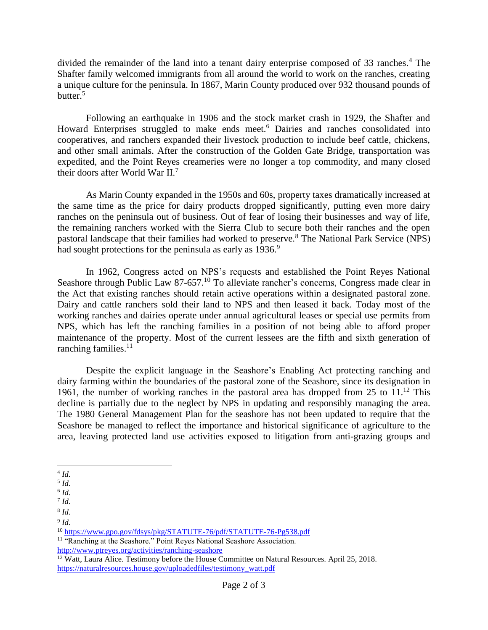divided the remainder of the land into a tenant dairy enterprise composed of 33 ranches.<sup>4</sup> The Shafter family welcomed immigrants from all around the world to work on the ranches, creating a unique culture for the peninsula. In 1867, Marin County produced over 932 thousand pounds of butter. $5$ 

Following an earthquake in 1906 and the stock market crash in 1929, the Shafter and Howard Enterprises struggled to make ends meet.<sup>6</sup> Dairies and ranches consolidated into cooperatives, and ranchers expanded their livestock production to include beef cattle, chickens, and other small animals. After the construction of the Golden Gate Bridge, transportation was expedited, and the Point Reyes creameries were no longer a top commodity, and many closed their doors after World War II.<sup>7</sup>

As Marin County expanded in the 1950s and 60s, property taxes dramatically increased at the same time as the price for dairy products dropped significantly, putting even more dairy ranches on the peninsula out of business. Out of fear of losing their businesses and way of life, the remaining ranchers worked with the Sierra Club to secure both their ranches and the open pastoral landscape that their families had worked to preserve.<sup>8</sup> The National Park Service (NPS) had sought protections for the peninsula as early as 1936.<sup>9</sup>

In 1962, Congress acted on NPS's requests and established the Point Reyes National Seashore through Public Law  $87-657$ .<sup>10</sup> To alleviate rancher's concerns, Congress made clear in the Act that existing ranches should retain active operations within a designated pastoral zone. Dairy and cattle ranchers sold their land to NPS and then leased it back. Today most of the working ranches and dairies operate under annual agricultural leases or special use permits from NPS, which has left the ranching families in a position of not being able to afford proper maintenance of the property. Most of the current lessees are the fifth and sixth generation of ranching families.<sup>11</sup>

Despite the explicit language in the Seashore's Enabling Act protecting ranching and dairy farming within the boundaries of the pastoral zone of the Seashore, since its designation in 1961, the number of working ranches in the pastoral area has dropped from 25 to 11. <sup>12</sup> This decline is partially due to the neglect by NPS in updating and responsibly managing the area. The 1980 General Management Plan for the seashore has not been updated to require that the Seashore be managed to reflect the importance and historical significance of agriculture to the area, leaving protected land use activities exposed to litigation from anti-grazing groups and

9 *Id.*

<sup>10</sup> <https://www.gpo.gov/fdsys/pkg/STATUTE-76/pdf/STATUTE-76-Pg538.pdf>

<sup>11</sup> "Ranching at the Seashore." Point Reyes National Seashore Association. <http://www.ptreyes.org/activities/ranching-seashore>

 $12$  Watt, Laura Alice. Testimony before the House Committee on Natural Resources. April 25, 2018. [https://naturalresources.house.gov/uploadedfiles/testimony\\_watt.pdf](https://naturalresources.house.gov/uploadedfiles/testimony_watt.pdf)

 $\overline{a}$ 4 *Id.* 

<sup>5</sup> *Id.*

<sup>6</sup> *Id.*

<sup>7</sup> *Id.*

<sup>8</sup> *Id.*